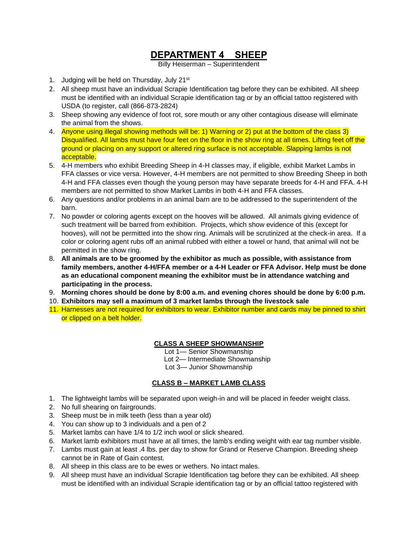# **DEPARTMENT 4 SHEEP**

Billy Heiserman – Superintendent

- 1. Judging will be held on Thursday, July 21<sup>st</sup>
- 2. All sheep must have an individual Scrapie Identification tag before they can be exhibited. All sheep must be identified with an individual Scrapie identification tag or by an official tattoo registered with USDA (to register, call (866-873-2824)
- 3. Sheep showing any evidence of foot rot, sore mouth or any other contagious disease will eliminate the animal from the shows.
- 4. Anyone using illegal showing methods will be: 1) Warning or 2) put at the bottom of the class 3) Disqualified. All lambs must have four feet on the floor in the show ring at all times. Lifting feet off the ground or placing on any support or altered ring surface is not acceptable. Slapping lambs is not acceptable.
- 5. 4-H members who exhibit Breeding Sheep in 4-H classes may, if eligible, exhibit Market Lambs in FFA classes or vice versa. However, 4-H members are not permitted to show Breeding Sheep in both 4-H and FFA classes even though the young person may have separate breeds for 4-H and FFA. 4-H members are not permitted to show Market Lambs in both 4-H and FFA classes.
- 6. Any questions and/or problems in an animal barn are to be addressed to the superintendent of the barn.
- 7. No powder or coloring agents except on the hooves will be allowed. All animals giving evidence of such treatment will be barred from exhibition. Projects, which show evidence of this (except for hooves), will not be permitted into the show ring. Animals will be scrutinized at the check-in area. If a color or coloring agent rubs off an animal rubbed with either a towel or hand, that animal will not be permitted in the show ring.
- 8. **All animals are to be groomed by the exhibitor as much as possible, with assistance from family members, another 4-H/FFA member or a 4-H Leader or FFA Advisor. Help must be done as an educational component meaning the exhibitor must be in attendance watching and participating in the process.**
- 9. **Morning chores should be done by 8:00 a.m. and evening chores should be done by 6:00 p.m.**
- 10. **Exhibitors may sell a maximum of 3 market lambs through the livestock sale**
- 11. Harnesses are not required for exhibitors to wear. Exhibitor number and cards may be pinned to shirt or clipped on a belt holder.

# **CLASS A SHEEP SHOWMANSHIP**

Lot 1— Senior Showmanship

Lot 2— Intermediate Showmanship

Lot 3— Junior Showmanship

### **CLASS B – MARKET LAMB CLASS**

- 1. The lightweight lambs will be separated upon weigh-in and will be placed in feeder weight class.
- 2. No full shearing on fairgrounds.
- 3. Sheep must be in milk teeth (less than a year old)
- 4. You can show up to 3 individuals and a pen of 2
- 5. Market lambs can have 1/4 to 1/2 inch wool or slick sheared.
- 6. Market lamb exhibitors must have at all times, the lamb's ending weight with ear tag number visible.
- 7. Lambs must gain at least .4 lbs. per day to show for Grand or Reserve Champion. Breeding sheep cannot be in Rate of Gain contest.
- 8. All sheep in this class are to be ewes or wethers. No intact males.
- 9. All sheep must have an individual Scrapie Identification tag before they can be exhibited. All sheep must be identified with an individual Scrapie identification tag or by an official tattoo registered with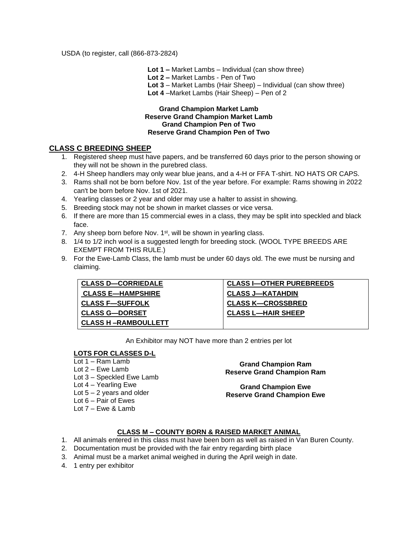USDA (to register, call (866-873-2824)

 **Lot 1 –** Market Lambs – Individual (can show three)

 **Lot 2 –** Market Lambs - Pen of Two

 **Lot 3** – Market Lambs (Hair Sheep) – Individual (can show three)

 **Lot 4** –Market Lambs (Hair Sheep) – Pen of 2

#### **Grand Champion Market Lamb Reserve Grand Champion Market Lamb Grand Champion Pen of Two Reserve Grand Champion Pen of Two**

## **CLASS C BREEDING SHEEP**

- 1. Registered sheep must have papers, and be transferred 60 days prior to the person showing or they will not be shown in the purebred class.
- 2. 4-H Sheep handlers may only wear blue jeans, and a 4-H or FFA T-shirt. NO HATS OR CAPS.
- 3. Rams shall not be born before Nov. 1st of the year before. For example: Rams showing in 2022 can't be born before Nov. 1st of 2021.
- 4. Yearling classes or 2 year and older may use a halter to assist in showing.
- 5. Breeding stock may not be shown in market classes or vice versa.
- 6. If there are more than 15 commercial ewes in a class, they may be split into speckled and black face.
- 7. Any sheep born before Nov. 1<sup>st</sup>, will be shown in yearling class.
- 8. 1/4 to 1/2 inch wool is a suggested length for breeding stock. (WOOL TYPE BREEDS ARE EXEMPT FROM THIS RULE.)
- 9. For the Ewe-Lamb Class, the lamb must be under 60 days old. The ewe must be nursing and claiming.

| <b>CLASS D-CORRIEDALE</b>   | <b>CLASS I-OTHER PUREBREEDS</b> |
|-----------------------------|---------------------------------|
| <b>CLASS E-HAMPSHIRE</b>    | <b>CLASS J—KATAHDIN</b>         |
| <b>CLASS F-SUFFOLK</b>      | <b>CLASS K-CROSSBRED</b>        |
| <b>CLASS G-DORSET</b>       | <b>CLASS L-HAIR SHEEP</b>       |
| <b>CLASS H –RAMBOULLETT</b> |                                 |

An Exhibitor may NOT have more than 2 entries per lot

### **LOTS FOR CLASSES D-L**

Lot 1 – Ram Lamb Lot 2 – Ewe Lamb Lot 3 – Speckled Ewe Lamb Lot 4 – Yearling Ewe Lot  $5 - 2$  years and older Lot 6 – Pair of Ewes Lot 7 – Ewe & Lamb

**Grand Champion Ram Reserve Grand Champion Ram**

**Grand Champion Ewe Reserve Grand Champion Ewe**

### **CLASS M – COUNTY BORN & RAISED MARKET ANIMAL**

- 1. All animals entered in this class must have been born as well as raised in Van Buren County.
- 2. Documentation must be provided with the fair entry regarding birth place
- 3. Animal must be a market animal weighed in during the April weigh in date.
- 4. 1 entry per exhibitor